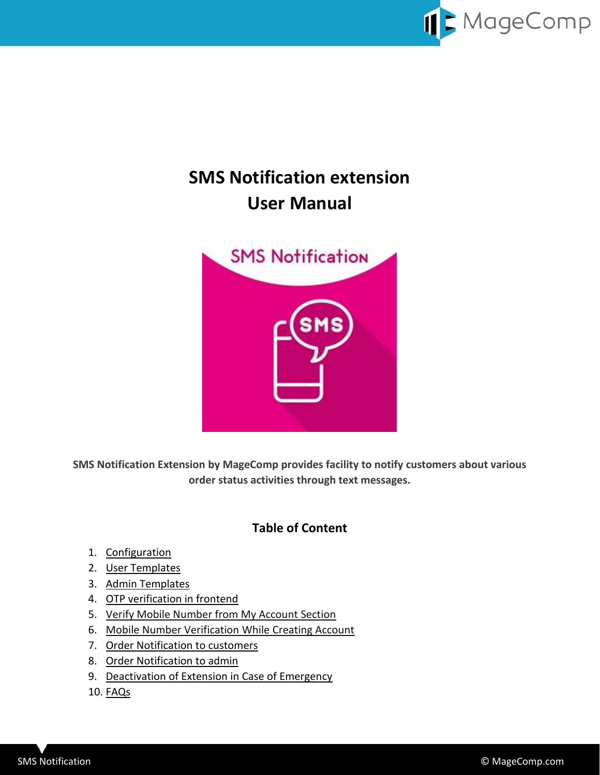

# **SMS Notification extension User Manual**



**SMS Notification Extension by MageComp provides facility to notify customers about various order status activities through text messages.**

# **Table of Content**

- 1. [Configuration](#page-1-0)
- 2. [User Templates](#page-2-0)
- 3. [Admin Templates](#page-5-0)
- 4. [OTP verification in frontend](#page-6-0)
- 5. [Verify Mobile Number from My Account Section](#page-7-0)
- 6. [Mobile Number Verification While Creating Account](#page-8-0)
- 7. [Order Notification to customers](#page-9-0)
- 8. [Order Notification to admin](#page-9-1)
- 9. [Deactivation of Extension in Case of Emergency](#page-10-0)
- 10. FAQs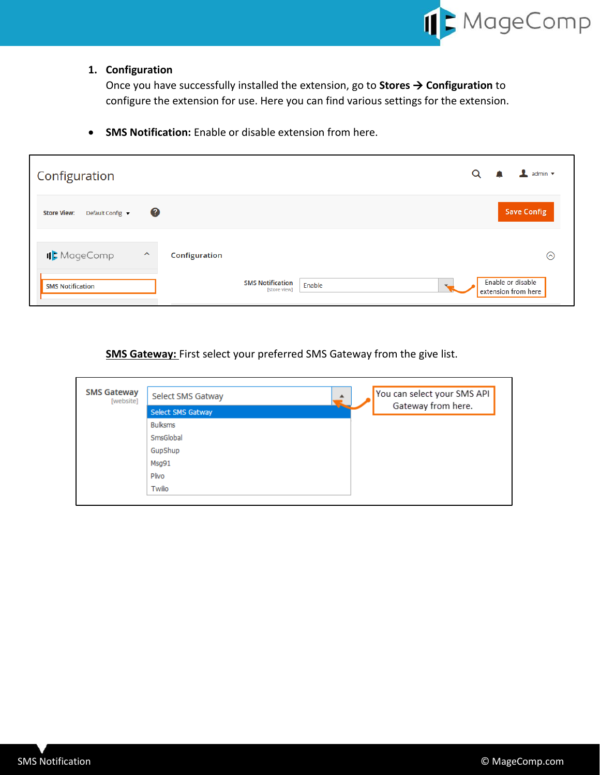

# <span id="page-1-0"></span>**1. Configuration**

Once you have successfully installed the extension, go to **Stores** → **Configuration** to configure the extension for use. Here you can find various settings for the extension.

• **SMS Notification:** Enable or disable extension from here.

| Configuration                                                      | $\perp$ admin $\sim$<br>Q                          |
|--------------------------------------------------------------------|----------------------------------------------------|
| 0<br><b>Store View:</b><br>Default Config ▼                        | <b>Save Config</b>                                 |
| IL MageComp<br>$\widehat{\phantom{a}}$<br>Configuration            | ⊙                                                  |
| <b>SMS Notification</b><br><b>SMS Notification</b><br>[store view] | Enable or disable<br>Enable<br>extension from here |

**SMS Gateway:** First select your preferred SMS Gateway from the give list.

| <b>SMS Gateway</b><br>[website] | Select SMS Gatway<br>▲ | You can select your SMS API<br>Gateway from here. |
|---------------------------------|------------------------|---------------------------------------------------|
|                                 | Select SMS Gatway      |                                                   |
|                                 | <b>Bulksms</b>         |                                                   |
|                                 | SmsGlobal              |                                                   |
|                                 | GupShup                |                                                   |
|                                 | Msq91                  |                                                   |
|                                 | Plivo                  |                                                   |
|                                 | Twilio                 |                                                   |
|                                 |                        |                                                   |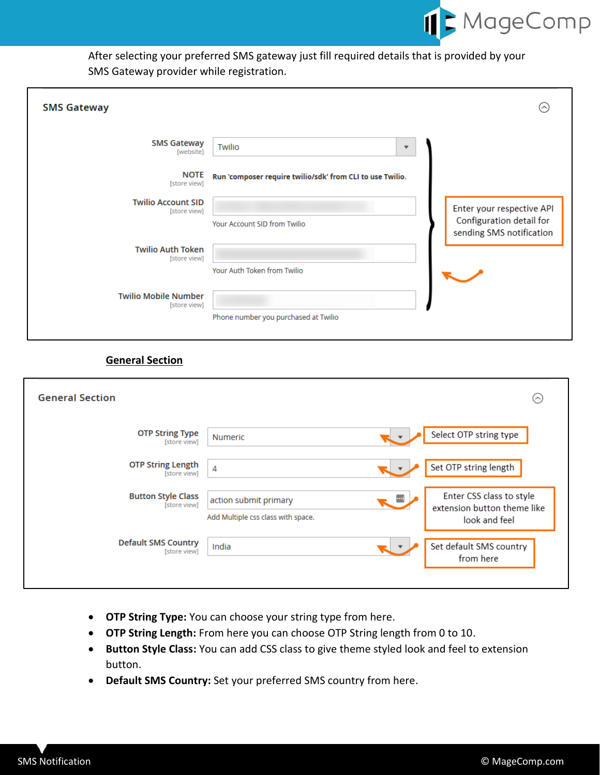

After selecting your preferred SMS gateway just fill required details that is provided by your SMS Gateway provider while registration.

| <b>SMS Gateway</b>                          |                                                           |   | ⌒                                                                                 |
|---------------------------------------------|-----------------------------------------------------------|---|-----------------------------------------------------------------------------------|
| <b>SMS Gateway</b><br>[website]             | Twilio                                                    | ▼ |                                                                                   |
| <b>NOTE</b><br>[store view]                 | Run 'composer require twilio/sdk' from CLI to use Twilio. |   |                                                                                   |
| <b>Twilio Account SID</b><br>[store view]   | Your Account SID from Twilio                              |   | Enter your respective API<br>Configuration detail for<br>sending SMS notification |
| <b>Twilio Auth Token</b><br>[store view]    | Your Auth Token from Twilio                               |   |                                                                                   |
| <b>Twilio Mobile Number</b><br>[store view] | Phone number you purchased at Twilio                      |   |                                                                                   |

# **General Section**

| <b>General Section</b>                     |                                                                    | ⊙                                                                        |
|--------------------------------------------|--------------------------------------------------------------------|--------------------------------------------------------------------------|
| <b>OTP String Type</b><br>[store view]     | Numeric                                                            | Select OTP string type                                                   |
| <b>OTP String Length</b><br>[store view]   | 4                                                                  | Set OTP string length                                                    |
| <b>Button Style Class</b><br>[store view]  | - ™<br>action submit primary<br>Add Multiple css class with space. | Enter CSS class to style<br>extension button theme like<br>look and feel |
| <b>Default SMS Country</b><br>[store view] | India                                                              | Set default SMS country<br>from here                                     |

- **OTP String Type:** You can choose your string type from here.
- <span id="page-2-0"></span>• **OTP String Length:** From here you can choose OTP String length from 0 to 10.
- **Button Style Class:** You can add CSS class to give theme styled look and feel to extension button.
- **Default SMS Country:** Set your preferred SMS country from here.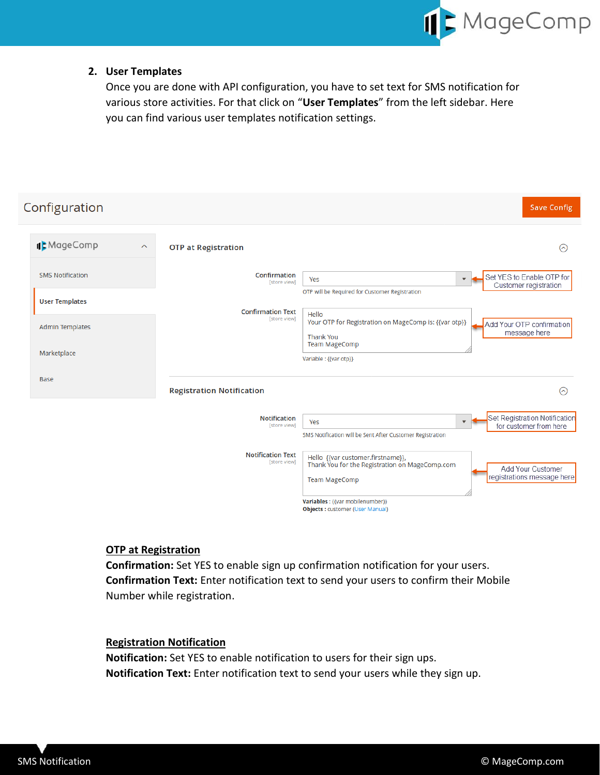

### **2. User Templates**

Once you are done with API configuration, you have to set text for SMS notification for various store activities. For that click on "**User Templates**" from the left sidebar. Here you can find various user templates notification settings.

| Configuration                          |                                          | <b>Save Config</b>                                                                                                                                                                                                                           |
|----------------------------------------|------------------------------------------|----------------------------------------------------------------------------------------------------------------------------------------------------------------------------------------------------------------------------------------------|
| IL MageComp<br>$\widehat{\phantom{a}}$ | <b>OTP at Registration</b>               | ⊙                                                                                                                                                                                                                                            |
| <b>SMS Notification</b>                | Confirmation<br>[store view]             | Set YES to Enable OTP for<br>Yes<br>$\blacktriangledown$<br>Customer registration                                                                                                                                                            |
| <b>User Templates</b>                  | <b>Confirmation Text</b>                 | OTP will be Required for Customer Registration                                                                                                                                                                                               |
| <b>Admin Templates</b>                 | [store view]                             | Hello<br>Your OTP for Registration on MageComp is: {{var otp}}<br>Add Your OTP confirmation<br>message here<br><b>Thank You</b>                                                                                                              |
| Marketplace                            |                                          | <b>Team MageComp</b><br>Variable : {{var otp}}                                                                                                                                                                                               |
| <b>Base</b>                            | <b>Registration Notification</b>         | ଚ                                                                                                                                                                                                                                            |
|                                        | <b>Notification</b><br>[store view]      | Set Registration Notification<br>Yes<br>$\overline{\phantom{a}}$<br>for customer from here<br>SMS Notification will be Sent After Customer Registration                                                                                      |
|                                        | <b>Notification Text</b><br>[store view] | Hello {{var customer.firstname}},<br>Thank You for the Registration on MageComp.com<br>Add Your Customer<br>registrations message here<br><b>Team MageComp</b><br>Variables : {{var mobilenumber}}<br><b>Objects: customer (User Manual)</b> |

# **OTP at Registration**

**Confirmation:** Set YES to enable sign up confirmation notification for your users. **Confirmation Text:** Enter notification text to send your users to confirm their Mobile Number while registration.

# **Registration Notification**

**Notification:** Set YES to enable notification to users for their sign ups. **Notification Text:** Enter notification text to send your users while they sign up.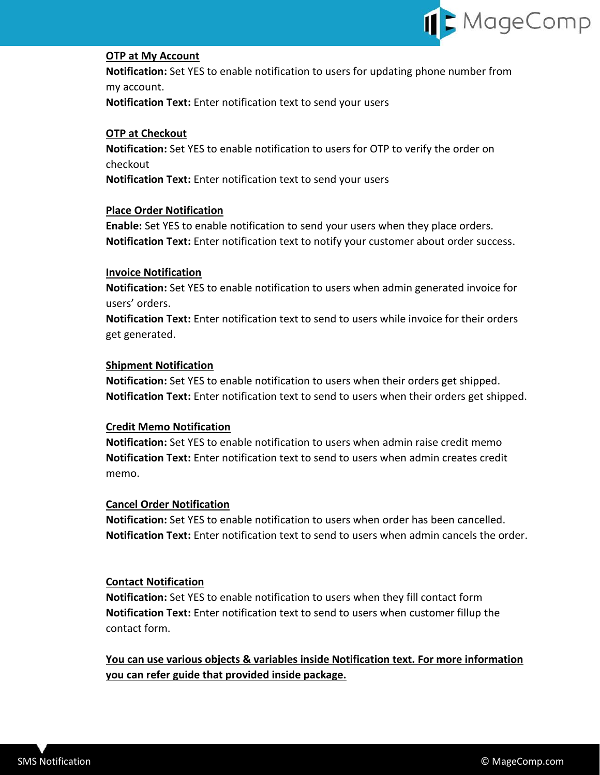

### **OTP at My Account**

**Notification:** Set YES to enable notification to users for updating phone number from my account.

**Notification Text:** Enter notification text to send your users

### **OTP at Checkout**

**Notification:** Set YES to enable notification to users for OTP to verify the order on checkout

**Notification Text:** Enter notification text to send your users

### **Place Order Notification**

**Enable:** Set YES to enable notification to send your users when they place orders. **Notification Text:** Enter notification text to notify your customer about order success.

#### **Invoice Notification**

**Notification:** Set YES to enable notification to users when admin generated invoice for users' orders.

**Notification Text:** Enter notification text to send to users while invoice for their orders get generated.

### **Shipment Notification**

**Notification:** Set YES to enable notification to users when their orders get shipped. **Notification Text:** Enter notification text to send to users when their orders get shipped.

### **Credit Memo Notification**

**Notification:** Set YES to enable notification to users when admin raise credit memo **Notification Text:** Enter notification text to send to users when admin creates credit memo.

#### **Cancel Order Notification**

**Notification:** Set YES to enable notification to users when order has been cancelled. **Notification Text:** Enter notification text to send to users when admin cancels the order.

#### **Contact Notification**

**Notification:** Set YES to enable notification to users when they fill contact form **Notification Text:** Enter notification text to send to users when customer fillup the contact form.

**You can use various objects & variables inside Notification text. For more information you can refer guide that provided inside package.**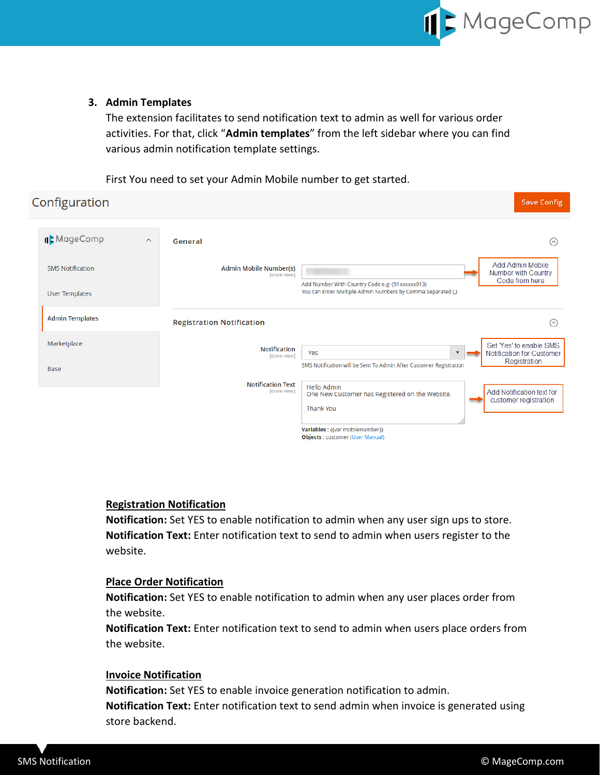

**Save Config** 

### <span id="page-5-0"></span>**3. Admin Templates**

The extension facilitates to send notification text to admin as well for various order activities. For that, click "**Admin templates**" from the left sidebar where you can find various admin notification template settings.

First You need to set your Admin Mobile number to get started.

# Configuration

| IL MageComp<br>$\widehat{\phantom{a}}$           | General                                       | $(\sim)$                                                                                                                                                                    |
|--------------------------------------------------|-----------------------------------------------|-----------------------------------------------------------------------------------------------------------------------------------------------------------------------------|
| <b>SMS Notification</b><br><b>User Templates</b> | <b>Admin Mobile Number(s)</b><br>[store view] | Add Admin Mobile<br>Number with Country<br>Code from here<br>Add Number With Country Code e.g:-(91xxxxxx013)<br>You can Enter Multiple Admin Numbers by Comma Separated (,) |
| <b>Admin Templates</b>                           | <b>Registration Notification</b>              | $(\sim)$                                                                                                                                                                    |
| Marketplace<br>Base                              | <b>Notification</b><br><b>Istore view1</b>    | Set 'Yes' to enable SMS<br>Yes<br>Notification for Customer<br>Registration<br>SMS Notification will be Sent To Admin After Customer Registration                           |
|                                                  | <b>Notification Text</b><br>[store view]      | <b>Hello Admin</b><br>Add Notification text for<br>One New Customer has Registered on the Website.<br>customer registration<br><b>Thank You</b>                             |
|                                                  |                                               | Variables : {{var mobilenumber}}<br><b>Objects: customer (User Manual)</b>                                                                                                  |

### **Registration Notification**

**Notification:** Set YES to enable notification to admin when any user sign ups to store. **Notification Text:** Enter notification text to send to admin when users register to the website.

### **Place Order Notification**

**Notification:** Set YES to enable notification to admin when any user places order from the website.

**Notification Text:** Enter notification text to send to admin when users place orders from the website.

### **Invoice Notification**

**Notification:** Set YES to enable invoice generation notification to admin. **Notification Text:** Enter notification text to send admin when invoice is generated using store backend.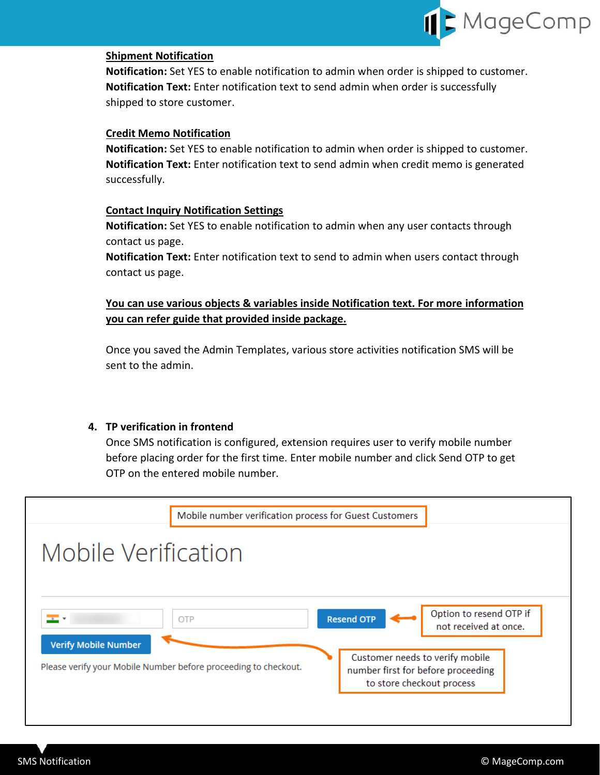

### **Shipment Notification**

**Notification:** Set YES to enable notification to admin when order is shipped to customer. **Notification Text:** Enter notification text to send admin when order is successfully shipped to store customer.

### **Credit Memo Notification**

**Notification:** Set YES to enable notification to admin when order is shipped to customer. **Notification Text:** Enter notification text to send admin when credit memo is generated successfully.

### **Contact Inquiry Notification Settings**

**Notification:** Set YES to enable notification to admin when any user contacts through contact us page.

**Notification Text:** Enter notification text to send to admin when users contact through contact us page.

# **You can use various objects & variables inside Notification text. For more information you can refer guide that provided inside package.**

Once you saved the Admin Templates, various store activities notification SMS will be sent to the admin.

# <span id="page-6-0"></span>**4. TP verification in frontend**

Once SMS notification is configured, extension requires user to verify mobile number before placing order for the first time. Enter mobile number and click Send OTP to get OTP on the entered mobile number.

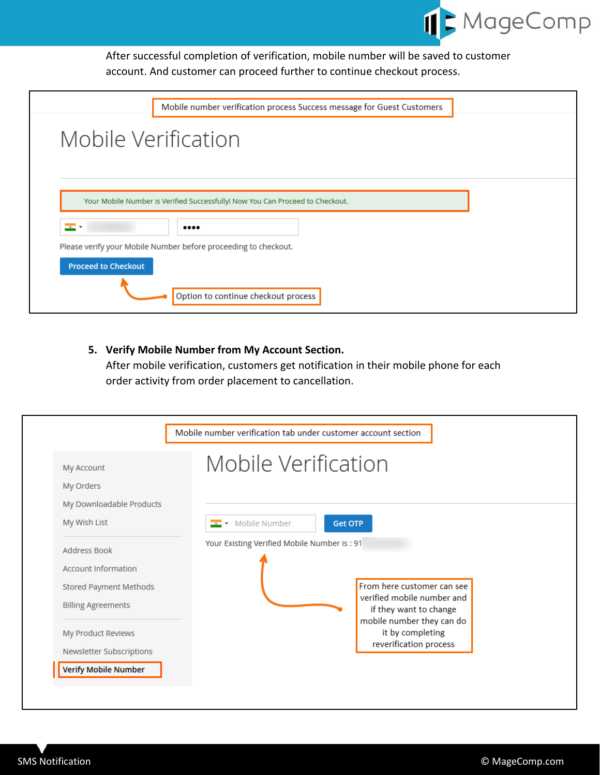

After successful completion of verification, mobile number will be saved to customer account. And customer can proceed further to continue checkout process.

| Mobile number verification process Success message for Guest Customers                                                               |  |
|--------------------------------------------------------------------------------------------------------------------------------------|--|
| Mobile Verification                                                                                                                  |  |
| Your Mobile Number is Verified Successfully! Now You Can Proceed to Checkout.<br>$\overline{a}$<br>                                  |  |
| Please verify your Mobile Number before proceeding to checkout.<br><b>Proceed to Checkout</b><br>Option to continue checkout process |  |

# <span id="page-7-0"></span>**5. Verify Mobile Number from My Account Section.**

After mobile verification, customers get notification in their mobile phone for each order activity from order placement to cancellation.

| <b>My Account</b><br>My Orders<br>My Downloadable Products<br>My Wish List<br>Address Book<br><b>Account Information</b> | Mobile Verification<br><b>E</b> Mobile Number<br><b>Get OTP</b><br>Your Existing Verified Mobile Number is: 91 |
|--------------------------------------------------------------------------------------------------------------------------|----------------------------------------------------------------------------------------------------------------|
|                                                                                                                          |                                                                                                                |
|                                                                                                                          |                                                                                                                |
| <b>Stored Payment Methods</b><br><b>Billing Agreements</b>                                                               | From here customer can see<br>verified mobile number and<br>if they want to change                             |
| My Product Reviews<br>Newsletter Subscriptions                                                                           | mobile number they can do<br>it by completing<br>reverification process                                        |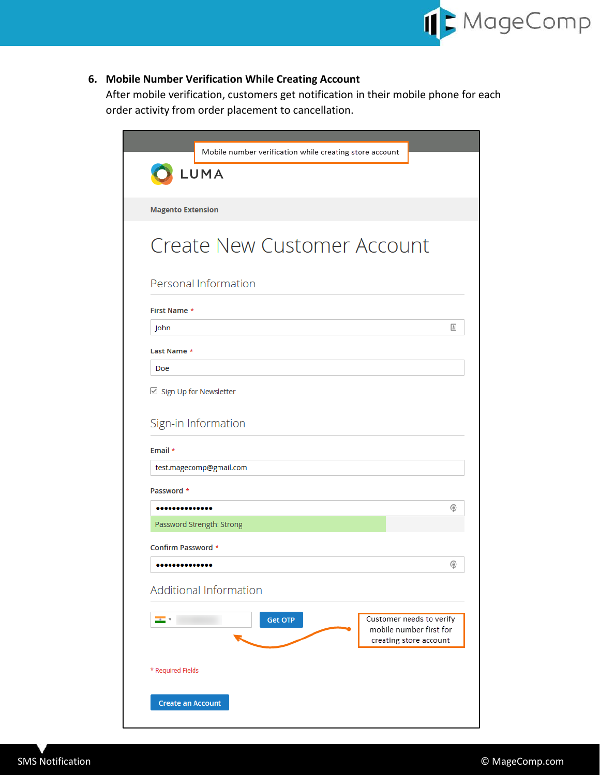

# <span id="page-8-0"></span>**6. Mobile Number Verification While Creating Account**

After mobile verification, customers get notification in their mobile phone for each order activity from order placement to cancellation.

| LUMA<br><b>Magento Extension</b><br><b>Create New Customer Account</b><br>Personal Information<br><b>First Name *</b> |                                                   |
|-----------------------------------------------------------------------------------------------------------------------|---------------------------------------------------|
|                                                                                                                       |                                                   |
|                                                                                                                       |                                                   |
|                                                                                                                       |                                                   |
|                                                                                                                       |                                                   |
|                                                                                                                       |                                                   |
|                                                                                                                       |                                                   |
|                                                                                                                       |                                                   |
| John                                                                                                                  | $\boxed{\triangleq}$                              |
| Last Name *                                                                                                           |                                                   |
| Doe                                                                                                                   |                                                   |
| ⊠ Sign Up for Newsletter                                                                                              |                                                   |
|                                                                                                                       |                                                   |
| Sign-in Information                                                                                                   |                                                   |
| Email *                                                                                                               |                                                   |
| test.magecomp@gmail.com                                                                                               |                                                   |
| Password *                                                                                                            |                                                   |
|                                                                                                                       | ⊕                                                 |
| Password Strength: Strong                                                                                             |                                                   |
| Confirm Password *                                                                                                    |                                                   |
|                                                                                                                       | ۵                                                 |
| <b>Additional Information</b>                                                                                         |                                                   |
| <b>Get OTP</b><br>÷.                                                                                                  | Customer needs to verify                          |
|                                                                                                                       | mobile number first for<br>creating store account |
|                                                                                                                       |                                                   |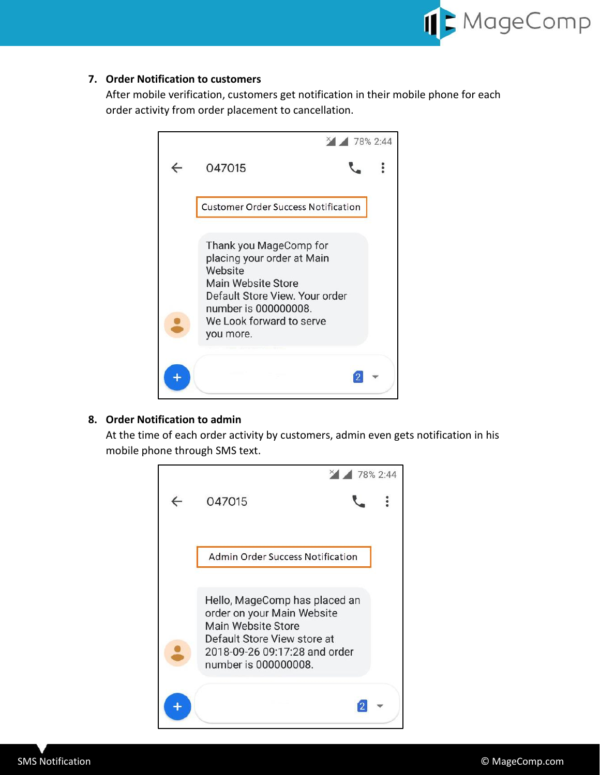

# <span id="page-9-0"></span>**7. Order Notification to customers**

After mobile verification, customers get notification in their mobile phone for each order activity from order placement to cancellation.



# <span id="page-9-1"></span>**8. Order Notification to admin**

At the time of each order activity by customers, admin even gets notification in his mobile phone through SMS text.